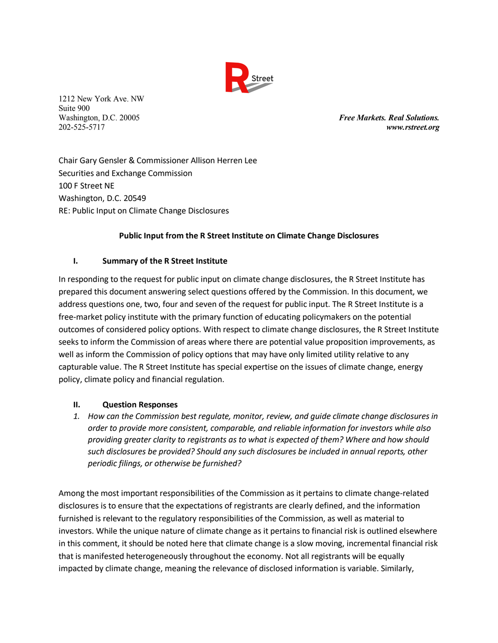

1212 New York Ave. NW Suite 900

Washington, D.C. 20005 *Free Markets. Real Solutions.* 202-525-5717 *www.rstreet.org*

Chair Gary Gensler & Commissioner Allison Herren Lee Securities and Exchange Commission 100 F Street NE Washington, D.C. 20549 RE: Public Input on Climate Change Disclosures

## **Public Input from the R Street Institute on Climate Change Disclosures**

## **I. Summary of the R Street Institute**

In responding to the request for public input on climate change disclosures, the R Street Institute has prepared this document answering select questions offered by the Commission. In this document, we address questions one, two, four and seven of the request for public input. The R Street Institute is a free-market policy institute with the primary function of educating policymakers on the potential outcomes of considered policy options. With respect to climate change disclosures, the R Street Institute seeks to inform the Commission of areas where there are potential value proposition improvements, as well as inform the Commission of policy options that may have only limited utility relative to any capturable value. The R Street Institute has special expertise on the issues of climate change, energy policy, climate policy and financial regulation.

## **II. Question Responses**

*1. How can the Commission best regulate, monitor, review, and guide climate change disclosures in order to provide more consistent, comparable, and reliable information for investors while also providing greater clarity to registrants as to what is expected of them? Where and how should such disclosures be provided? Should any such disclosures be included in annual reports, other periodic filings, or otherwise be furnished?*

Among the most important responsibilities of the Commission as it pertains to climate change-related disclosures is to ensure that the expectations of registrants are clearly defined, and the information furnished is relevant to the regulatory responsibilities of the Commission, as well as material to investors. While the unique nature of climate change as it pertains to financial risk is outlined elsewhere in this comment, it should be noted here that climate change is a slow moving, incremental financial risk that is manifested heterogeneously throughout the economy. Not all registrants will be equally impacted by climate change, meaning the relevance of disclosed information is variable. Similarly,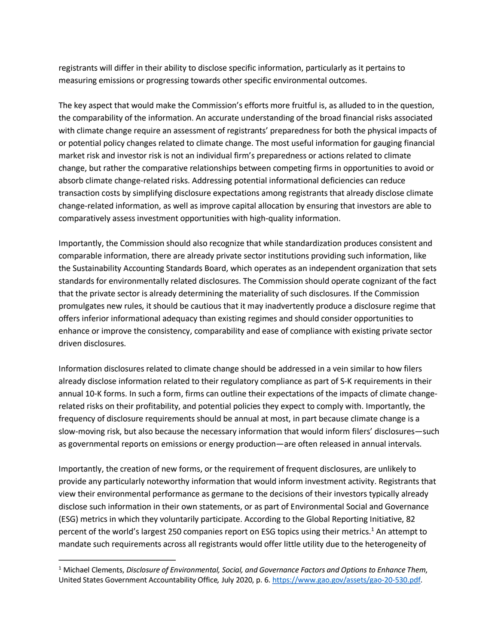registrants will differ in their ability to disclose specific information, particularly as it pertains to measuring emissions or progressing towards other specific environmental outcomes.

The key aspect that would make the Commission's efforts more fruitful is, as alluded to in the question, the comparability of the information. An accurate understanding of the broad financial risks associated with climate change require an assessment of registrants' preparedness for both the physical impacts of or potential policy changes related to climate change. The most useful information for gauging financial market risk and investor risk is not an individual firm's preparedness or actions related to climate change, but rather the comparative relationships between competing firms in opportunities to avoid or absorb climate change-related risks. Addressing potential informational deficiencies can reduce transaction costs by simplifying disclosure expectations among registrants that already disclose climate change-related information, as well as improve capital allocation by ensuring that investors are able to comparatively assess investment opportunities with high-quality information.

Importantly, the Commission should also recognize that while standardization produces consistent and comparable information, there are already private sector institutions providing such information, like the Sustainability Accounting Standards Board, which operates as an independent organization that sets standards for environmentally related disclosures. The Commission should operate cognizant of the fact that the private sector is already determining the materiality of such disclosures. If the Commission promulgates new rules, it should be cautious that it may inadvertently produce a disclosure regime that offers inferior informational adequacy than existing regimes and should consider opportunities to enhance or improve the consistency, comparability and ease of compliance with existing private sector driven disclosures.

Information disclosures related to climate change should be addressed in a vein similar to how filers already disclose information related to their regulatory compliance as part of S-K requirements in their annual 10-K forms. In such a form, firms can outline their expectations of the impacts of climate changerelated risks on their profitability, and potential policies they expect to comply with. Importantly, the frequency of disclosure requirements should be annual at most, in part because climate change is a slow-moving risk, but also because the necessary information that would inform filers' disclosures—such as governmental reports on emissions or energy production—are often released in annual intervals.

Importantly, the creation of new forms, or the requirement of frequent disclosures, are unlikely to provide any particularly noteworthy information that would inform investment activity. Registrants that view their environmental performance as germane to the decisions of their investors typically already disclose such information in their own statements, or as part of Environmental Social and Governance (ESG) metrics in which they voluntarily participate. According to the Global Reporting Initiative, 82 percent of the world's largest 250 companies report on ESG topics using their metrics.<sup>1</sup> An attempt to mandate such requirements across all registrants would offer little utility due to the heterogeneity of

 <sup>1</sup> Michael Clements, *Disclosure of Environmental, Social, and Governance Factors and Options to Enhance Them*, United States Government Accountability Office*,* July 2020, p. 6. https://www.gao.gov/assets/gao-20-530.pdf.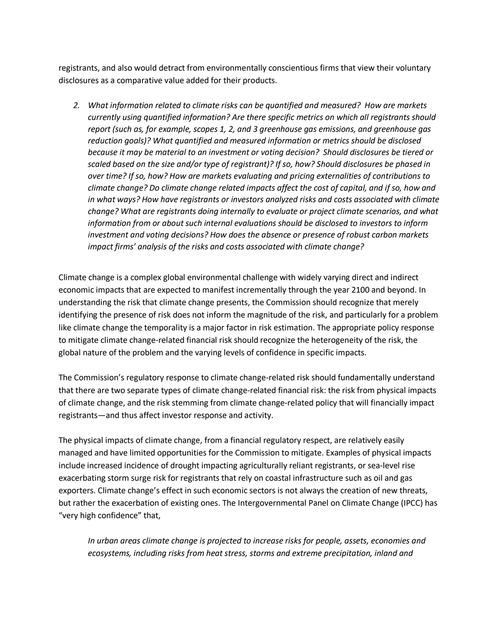registrants, and also would detract from environmentally conscientious firms that view their voluntary disclosures as a comparative value added for their products.

*2. What information related to climate risks can be quantified and measured? How are markets currently using quantified information? Are there specific metrics on which all registrants should report (such as, for example, scopes 1, 2, and 3 greenhouse gas emissions, and greenhouse gas reduction goals)? What quantified and measured information or metrics should be disclosed because it may be material to an investment or voting decision? Should disclosures be tiered or scaled based on the size and/or type of registrant)? If so, how? Should disclosures be phased in over time? If so, how? How are markets evaluating and pricing externalities of contributions to climate change? Do climate change related impacts affect the cost of capital, and if so, how and in what ways? How have registrants or investors analyzed risks and costs associated with climate change? What are registrants doing internally to evaluate or project climate scenarios, and what information from or about such internal evaluations should be disclosed to investors to inform investment and voting decisions? How does the absence or presence of robust carbon markets impact firms' analysis of the risks and costs associated with climate change?*

Climate change is a complex global environmental challenge with widely varying direct and indirect economic impacts that are expected to manifest incrementally through the year 2100 and beyond. In understanding the risk that climate change presents, the Commission should recognize that merely identifying the presence of risk does not inform the magnitude of the risk, and particularly for a problem like climate change the temporality is a major factor in risk estimation. The appropriate policy response to mitigate climate change-related financial risk should recognize the heterogeneity of the risk, the global nature of the problem and the varying levels of confidence in specific impacts.

The Commission's regulatory response to climate change-related risk should fundamentally understand that there are two separate types of climate change-related financial risk: the risk from physical impacts of climate change, and the risk stemming from climate change-related policy that will financially impact registrants—and thus affect investor response and activity.

The physical impacts of climate change, from a financial regulatory respect, are relatively easily managed and have limited opportunities for the Commission to mitigate. Examples of physical impacts include increased incidence of drought impacting agriculturally reliant registrants, or sea-level rise exacerbating storm surge risk for registrants that rely on coastal infrastructure such as oil and gas exporters. Climate change's effect in such economic sectors is not always the creation of new threats, but rather the exacerbation of existing ones. The Intergovernmental Panel on Climate Change (IPCC) has "very high confidence" that,

*In urban areas climate change is projected to increase risks for people, assets, economies and ecosystems, including risks from heat stress, storms and extreme precipitation, inland and*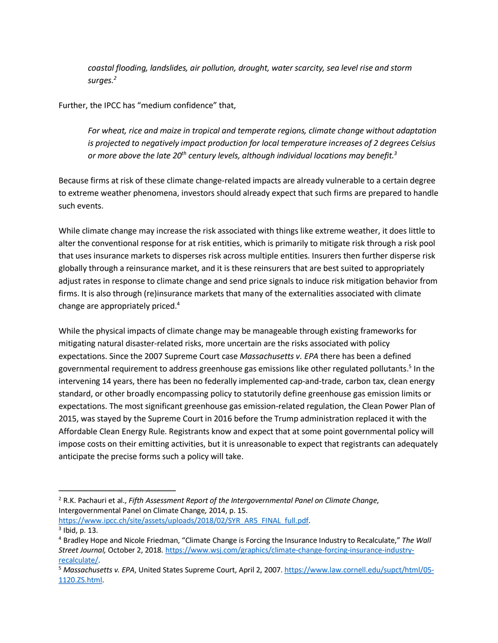*coastal flooding, landslides, air pollution, drought, water scarcity, sea level rise and storm surges.2*

Further, the IPCC has "medium confidence" that,

*For wheat, rice and maize in tropical and temperate regions, climate change without adaptation is projected to negatively impact production for local temperature increases of 2 degrees Celsius or more above the late 20th century levels, although individual locations may benefit.3*

Because firms at risk of these climate change-related impacts are already vulnerable to a certain degree to extreme weather phenomena, investors should already expect that such firms are prepared to handle such events.

While climate change may increase the risk associated with things like extreme weather, it does little to alter the conventional response for at risk entities, which is primarily to mitigate risk through a risk pool that uses insurance markets to disperses risk across multiple entities. Insurers then further disperse risk globally through a reinsurance market, and it is these reinsurers that are best suited to appropriately adjust rates in response to climate change and send price signals to induce risk mitigation behavior from firms. It is also through (re)insurance markets that many of the externalities associated with climate change are appropriately priced.4

While the physical impacts of climate change may be manageable through existing frameworks for mitigating natural disaster-related risks, more uncertain are the risks associated with policy expectations. Since the 2007 Supreme Court case *Massachusetts v. EPA* there has been a defined governmental requirement to address greenhouse gas emissions like other regulated pollutants.<sup>5</sup> In the intervening 14 years, there has been no federally implemented cap-and-trade, carbon tax, clean energy standard, or other broadly encompassing policy to statutorily define greenhouse gas emission limits or expectations. The most significant greenhouse gas emission-related regulation, the Clean Power Plan of 2015, was stayed by the Supreme Court in 2016 before the Trump administration replaced it with the Affordable Clean Energy Rule. Registrants know and expect that at some point governmental policy will impose costs on their emitting activities, but it is unreasonable to expect that registrants can adequately anticipate the precise forms such a policy will take.

 <sup>2</sup> R.K. Pachauri et al., *Fifth Assessment Report of the Intergovernmental Panel on Climate Change*, Intergovernmental Panel on Climate Change*,* 2014, p. 15.

https://www.ipcc.ch/site/assets/uploads/2018/02/SYR\_AR5\_FINAL\_full.pdf.<br><sup>3</sup> Ibid, p. 13.

<sup>4</sup> Bradley Hope and Nicole Friedman, "Climate Change is Forcing the Insurance Industry to Recalculate," *The Wall Street Journal,* October 2, 2018. https://www.wsj.com/graphics/climate-change-forcing-insurance-industryrecalculate/. 5 *Massachusetts v. EPA*, United States Supreme Court, April 2, 2007. https://www.law.cornell.edu/supct/html/05-

<sup>1120.</sup>ZS.html.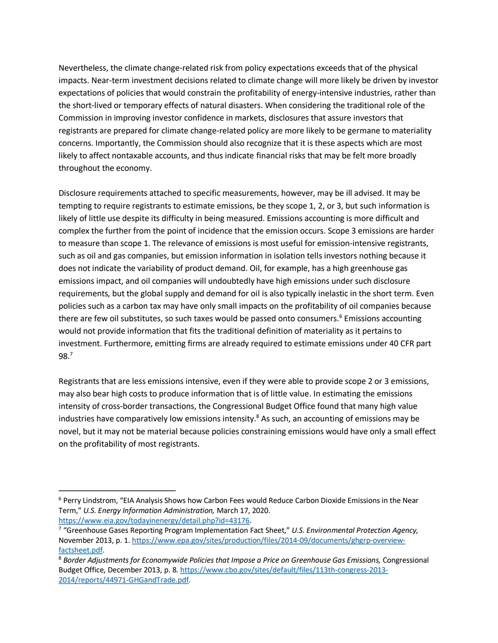Nevertheless, the climate change-related risk from policy expectations exceeds that of the physical impacts. Near-term investment decisions related to climate change will more likely be driven by investor expectations of policies that would constrain the profitability of energy-intensive industries, rather than the short-lived or temporary effects of natural disasters. When considering the traditional role of the Commission in improving investor confidence in markets, disclosures that assure investors that registrants are prepared for climate change-related policy are more likely to be germane to materiality concerns. Importantly, the Commission should also recognize that it is these aspects which are most likely to affect nontaxable accounts, and thus indicate financial risks that may be felt more broadly throughout the economy.

Disclosure requirements attached to specific measurements, however, may be ill advised. It may be tempting to require registrants to estimate emissions, be they scope 1, 2, or 3, but such information is likely of little use despite its difficulty in being measured. Emissions accounting is more difficult and complex the further from the point of incidence that the emission occurs. Scope 3 emissions are harder to measure than scope 1. The relevance of emissions is most useful for emission-intensive registrants, such as oil and gas companies, but emission information in isolation tells investors nothing because it does not indicate the variability of product demand. Oil, for example, has a high greenhouse gas emissions impact, and oil companies will undoubtedly have high emissions under such disclosure requirements, but the global supply and demand for oil is also typically inelastic in the short term. Even policies such as a carbon tax may have only small impacts on the profitability of oil companies because there are few oil substitutes, so such taxes would be passed onto consumers.<sup>6</sup> Emissions accounting would not provide information that fits the traditional definition of materiality as it pertains to investment. Furthermore, emitting firms are already required to estimate emissions under 40 CFR part 98.7

Registrants that are less emissions intensive, even if they were able to provide scope 2 or 3 emissions, may also bear high costs to produce information that is of little value. In estimating the emissions intensity of cross-border transactions, the Congressional Budget Office found that many high value industries have comparatively low emissions intensity. $8$  As such, an accounting of emissions may be novel, but it may not be material because policies constraining emissions would have only a small effect on the profitability of most registrants.

 <sup>6</sup> Perry Lindstrom, "EIA Analysis Shows how Carbon Fees would Reduce Carbon Dioxide Emissions in the Near Term," *U.S. Energy Information Administration,* March 17, 2020.

https://www.eia.gov/todayinenergy/detail.php?id=43176.<br><sup>7</sup> "Greenhouse Gases Reporting Program Implementation Fact Sheet," *U.S. Environmental Protection Agency,* November 2013, p. 1. https://www.epa.gov/sites/production/files/2014-09/documents/ghgrp-overview-

factsheet.pdf. 8 *Border Adjustments for Economywide Policies that Impose a Price on Greenhouse Gas Emissions,* Congressional Budget Office, December 2013, p. 8. https://www.cbo.gov/sites/default/files/113th-congress-2013- 2014/reports/44971-GHGandTrade.pdf.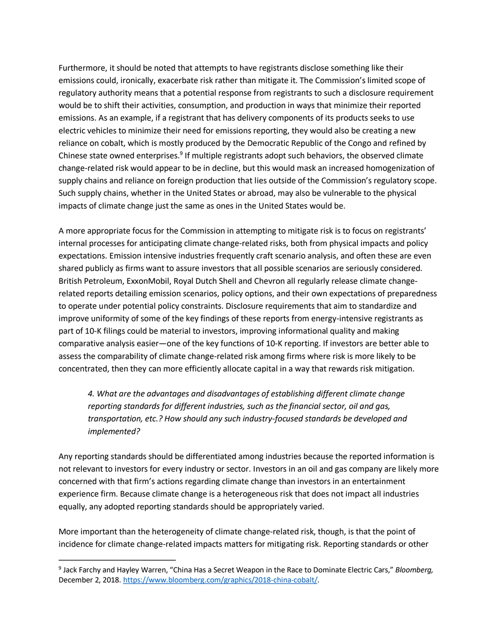Furthermore, it should be noted that attempts to have registrants disclose something like their emissions could, ironically, exacerbate risk rather than mitigate it. The Commission's limited scope of regulatory authority means that a potential response from registrants to such a disclosure requirement would be to shift their activities, consumption, and production in ways that minimize their reported emissions. As an example, if a registrant that has delivery components of its products seeks to use electric vehicles to minimize their need for emissions reporting, they would also be creating a new reliance on cobalt, which is mostly produced by the Democratic Republic of the Congo and refined by Chinese state owned enterprises.<sup>9</sup> If multiple registrants adopt such behaviors, the observed climate change-related risk would appear to be in decline, but this would mask an increased homogenization of supply chains and reliance on foreign production that lies outside of the Commission's regulatory scope. Such supply chains, whether in the United States or abroad, may also be vulnerable to the physical impacts of climate change just the same as ones in the United States would be.

A more appropriate focus for the Commission in attempting to mitigate risk is to focus on registrants' internal processes for anticipating climate change-related risks, both from physical impacts and policy expectations. Emission intensive industries frequently craft scenario analysis, and often these are even shared publicly as firms want to assure investors that all possible scenarios are seriously considered. British Petroleum, ExxonMobil, Royal Dutch Shell and Chevron all regularly release climate changerelated reports detailing emission scenarios, policy options, and their own expectations of preparedness to operate under potential policy constraints. Disclosure requirements that aim to standardize and improve uniformity of some of the key findings of these reports from energy-intensive registrants as part of 10-K filings could be material to investors, improving informational quality and making comparative analysis easier—one of the key functions of 10-K reporting. If investors are better able to assess the comparability of climate change-related risk among firms where risk is more likely to be concentrated, then they can more efficiently allocate capital in a way that rewards risk mitigation.

*4. What are the advantages and disadvantages of establishing different climate change reporting standards for different industries, such as the financial sector, oil and gas, transportation, etc.? How should any such industry-focused standards be developed and implemented?*

Any reporting standards should be differentiated among industries because the reported information is not relevant to investors for every industry or sector. Investors in an oil and gas company are likely more concerned with that firm's actions regarding climate change than investors in an entertainment experience firm. Because climate change is a heterogeneous risk that does not impact all industries equally, any adopted reporting standards should be appropriately varied.

More important than the heterogeneity of climate change-related risk, though, is that the point of incidence for climate change-related impacts matters for mitigating risk. Reporting standards or other

 <sup>9</sup> Jack Farchy and Hayley Warren, "China Has a Secret Weapon in the Race to Dominate Electric Cars," *Bloomberg,*  December 2, 2018. https://www.bloomberg.com/graphics/2018-china-cobalt/.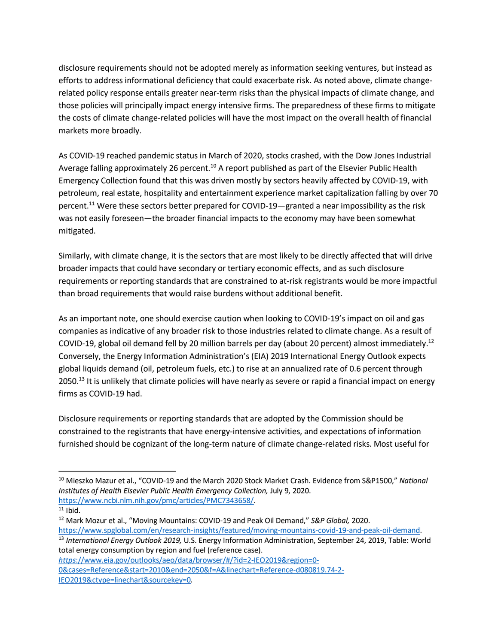disclosure requirements should not be adopted merely as information seeking ventures, but instead as efforts to address informational deficiency that could exacerbate risk. As noted above, climate changerelated policy response entails greater near-term risks than the physical impacts of climate change, and those policies will principally impact energy intensive firms. The preparedness of these firms to mitigate the costs of climate change-related policies will have the most impact on the overall health of financial markets more broadly.

As COVID-19 reached pandemic status in March of 2020, stocks crashed, with the Dow Jones Industrial Average falling approximately 26 percent.<sup>10</sup> A report published as part of the Elsevier Public Health Emergency Collection found that this was driven mostly by sectors heavily affected by COVID-19, with petroleum, real estate, hospitality and entertainment experience market capitalization falling by over 70 percent.<sup>11</sup> Were these sectors better prepared for COVID-19—granted a near impossibility as the risk was not easily foreseen—the broader financial impacts to the economy may have been somewhat mitigated.

Similarly, with climate change, it is the sectors that are most likely to be directly affected that will drive broader impacts that could have secondary or tertiary economic effects, and as such disclosure requirements or reporting standards that are constrained to at-risk registrants would be more impactful than broad requirements that would raise burdens without additional benefit.

As an important note, one should exercise caution when looking to COVID-19's impact on oil and gas companies as indicative of any broader risk to those industries related to climate change. As a result of COVID-19, global oil demand fell by 20 million barrels per day (about 20 percent) almost immediately.12 Conversely, the Energy Information Administration's (EIA) 2019 International Energy Outlook expects global liquids demand (oil, petroleum fuels, etc.) to rise at an annualized rate of 0.6 percent through  $2050<sup>13</sup>$  It is unlikely that climate policies will have nearly as severe or rapid a financial impact on energy firms as COVID-19 had.

Disclosure requirements or reporting standards that are adopted by the Commission should be constrained to the registrants that have energy-intensive activities, and expectations of information furnished should be cognizant of the long-term nature of climate change-related risks. Most useful for

*https*://www.eia.gov/outlooks/aeo/data/browser/#/?id=2-IEO2019&region=0- 0&cases=Reference&start=2010&end=2050&f=A&linechart=Reference-d080819.74-2- IEO2019&ctype=linechart&sourcekey=0*.*

 <sup>10</sup> Mieszko Mazur et al., "COVID-19 and the March 2020 Stock Market Crash. Evidence from S&P1500," *National Institutes of Health Elsevier Public Health Emergency Collection, July 9, 2020.* https://www.ncbi.nlm.nih.gov/pmc/articles/PMC7343658/. 11 Ibid.

<sup>12</sup> Mark Mozur et al., "Moving Mountains: COVID-19 and Peak Oil Demand," *S&P Global,* 2020. https://www.spglobal.com/en/research-insights/featured/moving-mountains-covid-19-and-peak-oil-demand. 13 *International Energy Outlook 2019,* U.S. Energy Information Administration, September 24, 2019, Table: World

total energy consumption by region and fuel (reference case).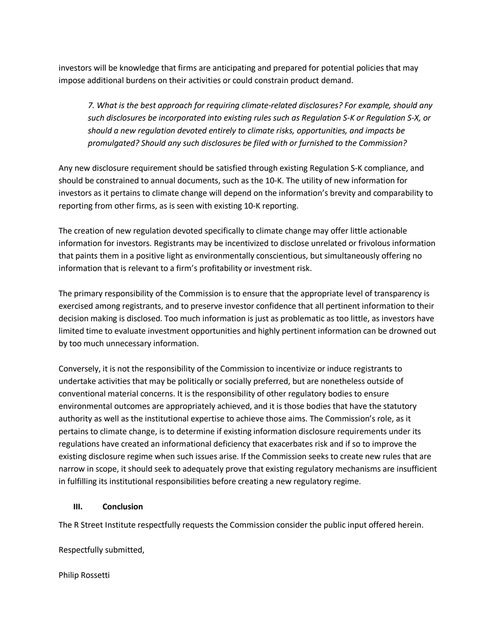investors will be knowledge that firms are anticipating and prepared for potential policies that may impose additional burdens on their activities or could constrain product demand.

*7. What is the best approach for requiring climate-related disclosures? For example, should any such disclosures be incorporated into existing rules such as Regulation S-K or Regulation S-X, or should a new regulation devoted entirely to climate risks, opportunities, and impacts be promulgated? Should any such disclosures be filed with or furnished to the Commission?*

Any new disclosure requirement should be satisfied through existing Regulation S-K compliance, and should be constrained to annual documents, such as the 10-K. The utility of new information for investors as it pertains to climate change will depend on the information's brevity and comparability to reporting from other firms, as is seen with existing 10-K reporting.

The creation of new regulation devoted specifically to climate change may offer little actionable information for investors. Registrants may be incentivized to disclose unrelated or frivolous information that paints them in a positive light as environmentally conscientious, but simultaneously offering no information that is relevant to a firm's profitability or investment risk.

The primary responsibility of the Commission is to ensure that the appropriate level of transparency is exercised among registrants, and to preserve investor confidence that all pertinent information to their decision making is disclosed. Too much information is just as problematic as too little, as investors have limited time to evaluate investment opportunities and highly pertinent information can be drowned out by too much unnecessary information.

Conversely, it is not the responsibility of the Commission to incentivize or induce registrants to undertake activities that may be politically or socially preferred, but are nonetheless outside of conventional material concerns. It is the responsibility of other regulatory bodies to ensure environmental outcomes are appropriately achieved, and it is those bodies that have the statutory authority as well as the institutional expertise to achieve those aims. The Commission's role, as it pertains to climate change, is to determine if existing information disclosure requirements under its regulations have created an informational deficiency that exacerbates risk and if so to improve the existing disclosure regime when such issues arise. If the Commission seeks to create new rules that are narrow in scope, it should seek to adequately prove that existing regulatory mechanisms are insufficient in fulfilling its institutional responsibilities before creating a new regulatory regime.

## **III. Conclusion**

The R Street Institute respectfully requests the Commission consider the public input offered herein.

Respectfully submitted,

Philip Rossetti